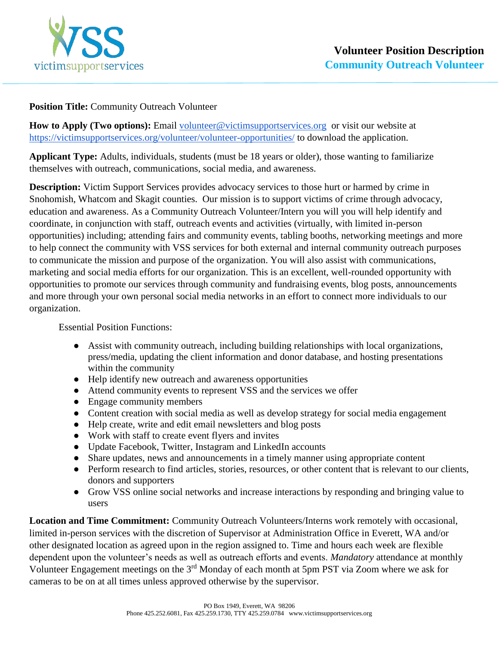

## **Position Title:** Community Outreach Volunteer

How to Apply (Two options): Email [volunteer@victimsupportservices.org](mailto:volunteer@victimsupportservices.org) or visit our website at <https://victimsupportservices.org/volunteer/volunteer-opportunities/> to download the application.

**Applicant Type:** Adults, individuals, students (must be 18 years or older), those wanting to familiarize themselves with outreach, communications, social media, and awareness.

**Description:** Victim Support Services provides advocacy services to those hurt or harmed by crime in Snohomish, Whatcom and Skagit counties. Our mission is to support victims of crime through advocacy, education and awareness. As a Community Outreach Volunteer/Intern you will you will help identify and coordinate, in conjunction with staff, outreach events and activities (virtually, with limited in-person opportunities) including; attending fairs and community events, tabling booths, networking meetings and more to help connect the community with VSS services for both external and internal community outreach purposes to communicate the mission and purpose of the organization. You will also assist with communications, marketing and social media efforts for our organization. This is an excellent, well-rounded opportunity with opportunities to promote our services through community and fundraising events, blog posts, announcements and more through your own personal social media networks in an effort to connect more individuals to our organization.

Essential Position Functions:

- Assist with community outreach, including building relationships with local organizations, press/media, updating the client information and donor database, and hosting presentations within the community
- Help identify new outreach and awareness opportunities
- Attend community events to represent VSS and the services we offer
- Engage community members
- Content creation with social media as well as develop strategy for social media engagement
- Help create, write and edit email newsletters and blog posts
- Work with staff to create event flyers and invites
- Update Facebook, Twitter, Instagram and LinkedIn accounts
- Share updates, news and announcements in a timely manner using appropriate content
- Perform research to find articles, stories, resources, or other content that is relevant to our clients, donors and supporters
- Grow VSS online social networks and increase interactions by responding and bringing value to users

**Location and Time Commitment:** Community Outreach Volunteers/Interns work remotely with occasional, limited in-person services with the discretion of Supervisor at Administration Office in Everett, WA and/or other designated location as agreed upon in the region assigned to. Time and hours each week are flexible dependent upon the volunteer's needs as well as outreach efforts and events. *Mandatory* attendance at monthly Volunteer Engagement meetings on the 3<sup>rd</sup> Monday of each month at 5pm PST via Zoom where we ask for cameras to be on at all times unless approved otherwise by the supervisor.